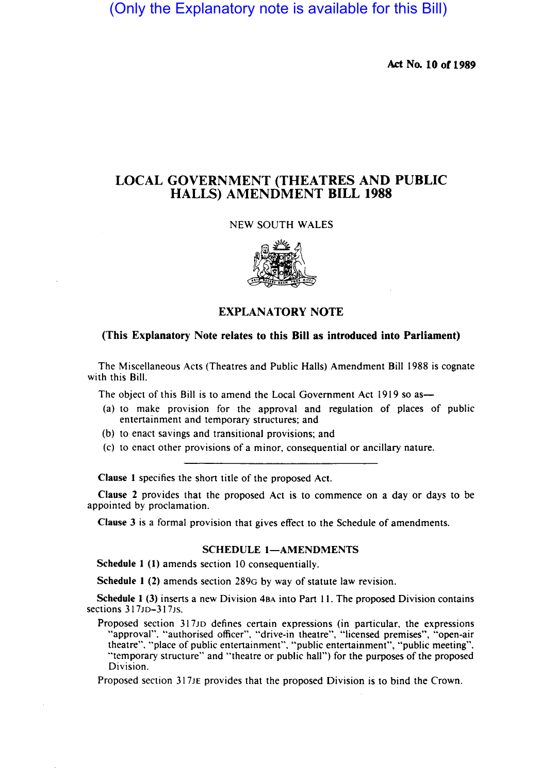(Only the Explanatory note is available for this Bill)

Act No. 10 of 1989

# LOCAL GOVERNMENT (THEATRES AND PUBLIC HALLS) AMENDMENT BILL 1988

## NEW SOUTH WALES



# EXPLANATORY NOTE

### (This Explanatory Note relates to this Bill as introduced into Parliament)

The Miscellaneous Acts (Theatres and Public Halls) Amendment Bill 1988 is cognate with this Bill.

The object of this Bill is to amend the Local Government Act 1919 so as-

- (a) to make provision for the approval and regulation of places of public entertainment and temporary structures; and
- (b) to enact savings and transitional provisions; and
- (c) to enact other provisions of a minor, consequential or ancillary nature.

Clause I specifies the short title of the proposed Act.

Clause 2 provides that the proposed Act is to commence on a day or days to be appointed by proclamation.

Clause 3 is a formal provision that gives effect to the Schedule of amendments.

#### SCHEDULE 1-AMENDMENTS

Schedule 1 (1) amends section 10 consequentially.

Schedule I (2) amends section 289G by way of statute law revision.

Schedule I (3) inserts a new Division 4BA into Part 11. The proposed Division contains sections 317JD-317Js.

Proposed section 317JD defines certain expressions (in particular, the expressions "approval", "authorised officer", "drive-in theatre", "licensed premises", "open-air theatre". "place of public entertainment", "public entertainment", "public meeting", "temporary structure" and "theatre or public hall") for the purposes of the proposed Division.

Proposed section 317JE provides that the proposed Division is to bind the Crown.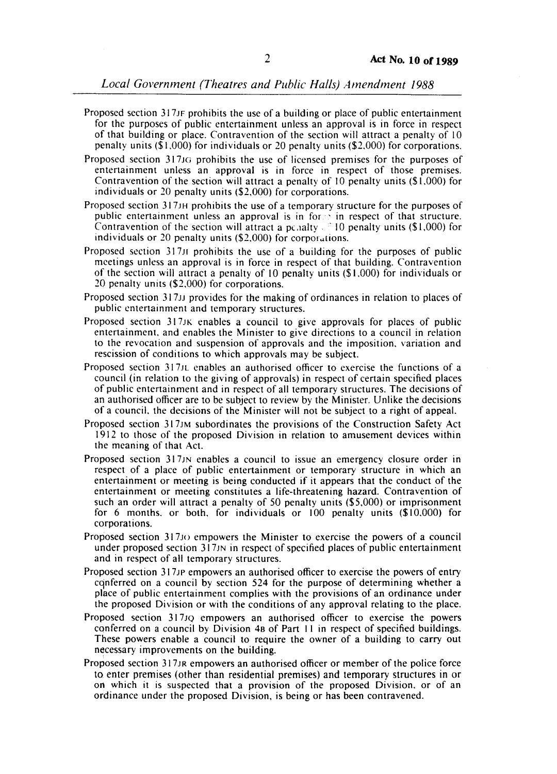- Proposed section 317JF prohibits the use of a building or place of public entertainment for the purposes of public entertainment unless an approval is in force in respect of that building or place. Contravention of the section will attract a penalty of 10 penalty units (\$1.000) for individuals or 20 penalty units (\$2.000) for corporations.
- Proposed section 317JG prohibits the use of licensed premises for the purposes of entertainment unless an approval is in force in respect of those premises. Contravention of the section will attract a penalty of 10 penalty units (\$1.000) for individuals or 20 penalty units (\$2.000) for corporations.
- Proposed section 317JH prohibits the use of a temporary structure for the purposes of public entertainment unless an approval is in forthin respect of that structure.<br>Contravention of the section will attract a pchalty ... 10 penalty units (\$1,000) for individuals or 20 penalty units  $(\$2,000)$  for corporations.
- Proposed section 317J1 prohibits the use of a building for the purposes of public meetings unless an approval is in force in respect of that building. Contravention of the section will attract a penalty of 10 penalty units (\$1.000) for individuals or 20 penalty units (\$2.000) for corporations.
- Proposed section 317JJ provides for the making of ordinances in relation to places of public entertainment and temporary structures.
- Proposed section 317JK enables a council to give approvals for places of public entertainment. and enables the Minister to give directions to a council in relation to the revocation and suspension of approvals and the imposition. variation and rescission of conditions to which approvals may be subject.
- Proposed section 317JL enables an authorised officer to exercise the functions of a council (in relation to the giving of approvals) in respect of certain specified places of public entertainment and in respect of all temporary structures. The decisions of an authorised officer are to be subject to review by the Minister. Unlike the decisions of a council. the decisions of the Minister will not be subject to a right of appeal.
- Proposed section 317 JM subordinates the provisions of the Construction Safety Act 1912 to those of the proposed Division in relation to amusement devices within the meaning of that Act.
- Proposed section 317 IN enables a council to issue an emergency closure order in respect of a place of public entertainment or temporary structure in which an entertainment or meeting is being conducted if it appears that the conduct of the entertainment or meeting constitutes a life-threatening hazard. Contravention of such an order will attract a penalty of 50 penalty units (\$5,000) or imprisonment for 6 months. or both. for individuals or 100 penalty units (\$10.000) for corporations.
- Proposed section 317 JO empowers the Minister to exercise the powers of a council under proposed section 317JN in respect of specified places of public entertainment and in respect of all temporary structures.
- Proposed section 317JP empowers an authorised officer to exercise the powers of entry cgnferred on a council by section 524 for the purpose of determining whether a place of public entertainment complies with the provisions of an ordinance under the proposed Division or with the conditions of any approval relating to the place.
- Proposed section 317JQ empowers an authorised officer to exercise the powers conferred on a council by Division 48 of Part I1 in respect of specified buildings. These powers enable a council to require the owner of a building to carry out necessary improvements on the building.
- Proposed section 317 JR empowers an authorised officer or member of the police force to. enter premises (other than residential premises) and temporary structures in or on which it is suspected that a provision of the proposed Division. or of an ordinance under the proposed Division, is being or has been contravened.